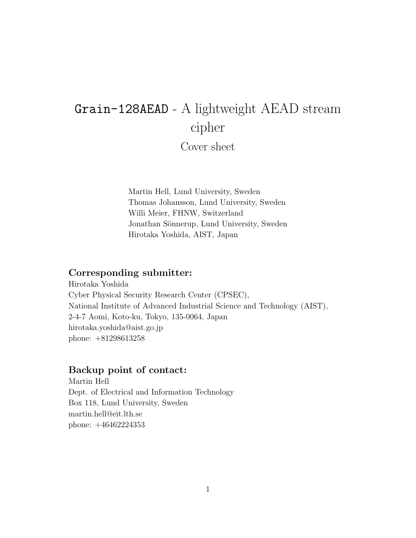# Grain-128AEAD - A lightweight AEAD stream cipher

Cover sheet

Martin Hell, Lund University, Sweden Thomas Johansson, Lund University, Sweden Willi Meier, FHNW, Switzerland Jonathan Sönnerup, Lund University, Sweden Hirotaka Yoshida, AIST, Japan

## Corresponding submitter:

Hirotaka Yoshida Cyber Physical Security Research Center (CPSEC), National Institute of Advanced Industrial Science and Technology (AIST), 2-4-7 Aomi, Koto-ku, Tokyo, 135-0064, Japan hirotaka.yoshida@aist.go.jp phone: +81298613258

## Backup point of contact:

Martin Hell Dept. of Electrical and Information Technology Box 118, Lund University, Sweden martin.hell@eit.lth.se phone: +46462224353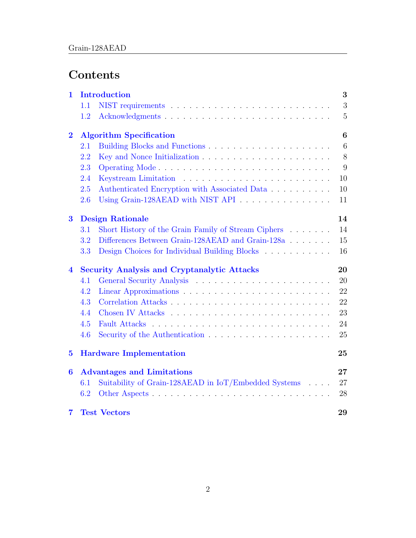## Contents

| $\mathbf 1$    | <b>Introduction</b>                                                                                                                                      |  |  | 3        |  |
|----------------|----------------------------------------------------------------------------------------------------------------------------------------------------------|--|--|----------|--|
|                | 1.1                                                                                                                                                      |  |  | 3        |  |
|                | 1.2                                                                                                                                                      |  |  | 5        |  |
| $\bf{2}$       | <b>Algorithm Specification</b>                                                                                                                           |  |  | $\bf{6}$ |  |
|                | 2.1                                                                                                                                                      |  |  | 6        |  |
|                | 2.2                                                                                                                                                      |  |  | 8        |  |
|                | 2.3<br>Operating Mode                                                                                                                                    |  |  | 9        |  |
|                | 2.4                                                                                                                                                      |  |  | 10       |  |
|                | Authenticated Encryption with Associated Data<br>2.5                                                                                                     |  |  | 10       |  |
|                | Using Grain-128AEAD with NIST API<br>2.6                                                                                                                 |  |  | 11       |  |
| $\bf{3}$       | <b>Design Rationale</b><br>14                                                                                                                            |  |  |          |  |
|                | Short History of the Grain Family of Stream Ciphers<br>3.1                                                                                               |  |  | 14       |  |
|                | Differences Between Grain-128AEAD and Grain-128a<br>3.2                                                                                                  |  |  | 15       |  |
|                | Design Choices for Individual Building Blocks<br>3.3                                                                                                     |  |  | 16       |  |
| $\overline{4}$ | <b>Security Analysis and Cryptanalytic Attacks</b>                                                                                                       |  |  | 20       |  |
|                | 4.1                                                                                                                                                      |  |  | 20       |  |
|                | 4.2                                                                                                                                                      |  |  | 22       |  |
|                | 4.3                                                                                                                                                      |  |  | 22       |  |
|                | 4.4                                                                                                                                                      |  |  | 23       |  |
|                | 4.5<br><b>Fault Attacks</b><br><u>. Kanada ana kaominina mpikambana amin'ny fivondronan-kaominin'i Amerika ao amin'ny fivondronan-kaominin'i Amerika</u> |  |  | 24       |  |
|                | 4.6                                                                                                                                                      |  |  | 25       |  |
| $\bf{5}$       | <b>Hardware Implementation</b>                                                                                                                           |  |  | 25       |  |
| 6              | <b>Advantages and Limitations</b>                                                                                                                        |  |  | 27       |  |
|                | Suitability of Grain-128AEAD in IoT/Embedded Systems<br>6.1                                                                                              |  |  | 27       |  |
|                | 6.2                                                                                                                                                      |  |  | 28       |  |
| 7              | <b>Test Vectors</b>                                                                                                                                      |  |  | 29       |  |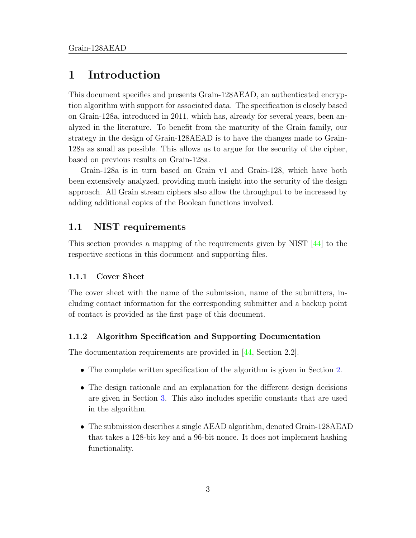## <span id="page-2-0"></span>1 Introduction

This document specifies and presents Grain-128AEAD, an authenticated encryption algorithm with support for associated data. The specification is closely based on Grain-128a, introduced in 2011, which has, already for several years, been analyzed in the literature. To benefit from the maturity of the Grain family, our strategy in the design of Grain-128AEAD is to have the changes made to Grain-128a as small as possible. This allows us to argue for the security of the cipher, based on previous results on Grain-128a.

Grain-128a is in turn based on Grain v1 and Grain-128, which have both been extensively analyzed, providing much insight into the security of the design approach. All Grain stream ciphers also allow the throughput to be increased by adding additional copies of the Boolean functions involved.

## <span id="page-2-1"></span>1.1 NIST requirements

This section provides a mapping of the requirements given by NIST [\[44\]](#page-35-0) to the respective sections in this document and supporting files.

#### 1.1.1 Cover Sheet

The cover sheet with the name of the submission, name of the submitters, including contact information for the corresponding submitter and a backup point of contact is provided as the first page of this document.

### 1.1.2 Algorithm Specification and Supporting Documentation

The documentation requirements are provided in [\[44,](#page-35-0) Section 2.2].

- The complete written specification of the algorithm is given in Section [2.](#page-5-0)
- The design rationale and an explanation for the different design decisions are given in Section [3.](#page-13-0) This also includes specific constants that are used in the algorithm.
- The submission describes a single AEAD algorithm, denoted Grain-128AEAD that takes a 128-bit key and a 96-bit nonce. It does not implement hashing functionality.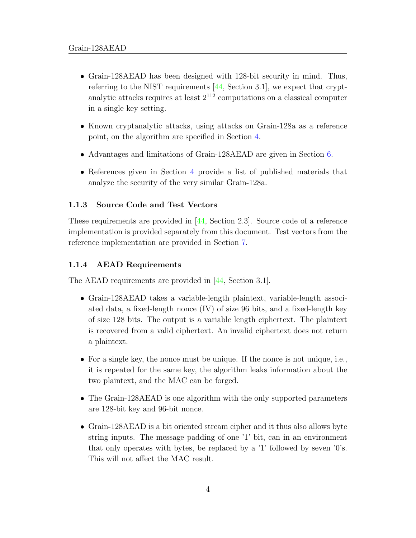- Grain-128AEAD has been designed with 128-bit security in mind. Thus, referring to the NIST requirements [\[44,](#page-35-0) Section 3.1], we expect that cryptanalytic attacks requires at least  $2^{112}$  computations on a classical computer in a single key setting.
- Known cryptanalytic attacks, using attacks on Grain-128a as a reference point, on the algorithm are specified in Section [4.](#page-19-0)
- Advantages and limitations of Grain-128AEAD are given in Section [6.](#page-26-0)
- References given in Section [4](#page-19-0) provide a list of published materials that analyze the security of the very similar Grain-128a.

#### 1.1.3 Source Code and Test Vectors

These requirements are provided in [\[44,](#page-35-0) Section 2.3]. Source code of a reference implementation is provided separately from this document. Test vectors from the reference implementation are provided in Section [7.](#page-28-0)

#### 1.1.4 AEAD Requirements

The AEAD requirements are provided in [\[44,](#page-35-0) Section 3.1].

- Grain-128AEAD takes a variable-length plaintext, variable-length associated data, a fixed-length nonce (IV) of size 96 bits, and a fixed-length key of size 128 bits. The output is a variable length ciphertext. The plaintext is recovered from a valid ciphertext. An invalid ciphertext does not return a plaintext.
- For a single key, the nonce must be unique. If the nonce is not unique, i.e., it is repeated for the same key, the algorithm leaks information about the two plaintext, and the MAC can be forged.
- The Grain-128AEAD is one algorithm with the only supported parameters are 128-bit key and 96-bit nonce.
- Grain-128AEAD is a bit oriented stream cipher and it thus also allows byte string inputs. The message padding of one '1' bit, can in an environment that only operates with bytes, be replaced by a '1' followed by seven '0's. This will not affect the MAC result.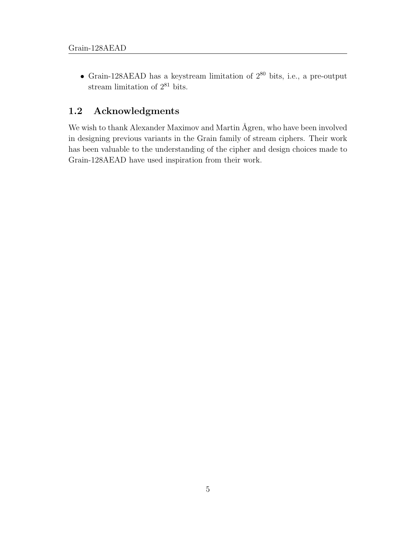• Grain-128AEAD has a keystream limitation of  $2^{80}$  bits, i.e., a pre-output stream limitation of  $2^{81}$  bits.

## <span id="page-4-0"></span>1.2 Acknowledgments

We wish to thank Alexander Maximov and Martin Ågren, who have been involved in designing previous variants in the Grain family of stream ciphers. Their work has been valuable to the understanding of the cipher and design choices made to Grain-128AEAD have used inspiration from their work.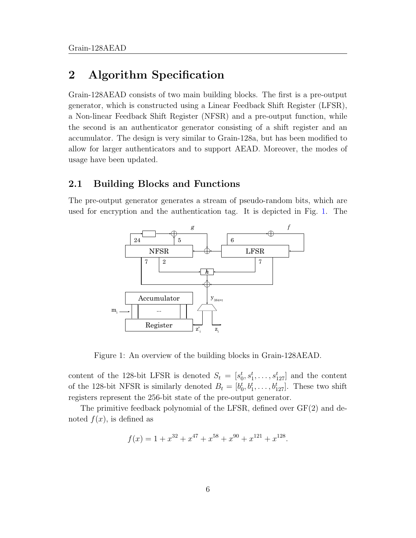## <span id="page-5-0"></span>2 Algorithm Specification

Grain-128AEAD consists of two main building blocks. The first is a pre-output generator, which is constructed using a Linear Feedback Shift Register (LFSR), a Non-linear Feedback Shift Register (NFSR) and a pre-output function, while the second is an authenticator generator consisting of a shift register and an accumulator. The design is very similar to Grain-128a, but has been modified to allow for larger authenticators and to support AEAD. Moreover, the modes of usage have been updated.

## <span id="page-5-1"></span>2.1 Building Blocks and Functions

The pre-output generator generates a stream of pseudo-random bits, which are used for encryption and the authentication tag. It is depicted in Fig. [1.](#page-5-2) The



<span id="page-5-2"></span>Figure 1: An overview of the building blocks in Grain-128AEAD.

content of the 128-bit LFSR is denoted  $S_t = [s_0^t, s_1^t, \ldots, s_{127}^t]$  and the content of the 128-bit NFSR is similarly denoted  $B_t = [b_0^t, b_1^t, \ldots, b_{127}^t]$ . These two shift registers represent the 256-bit state of the pre-output generator.

The primitive feedback polynomial of the LFSR, defined over GF(2) and denoted  $f(x)$ , is defined as

$$
f(x) = 1 + x^{32} + x^{47} + x^{58} + x^{90} + x^{121} + x^{128}.
$$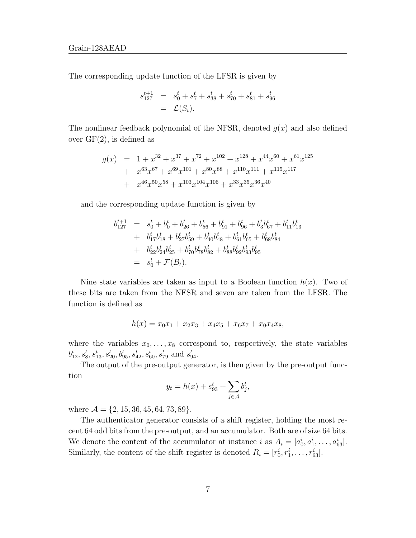The corresponding update function of the LFSR is given by

$$
s_{127}^{t+1} = s_0^t + s_7^t + s_{38}^t + s_{70}^t + s_{81}^t + s_{96}^t
$$
  
=  $\mathcal{L}(S_t)$ .

The nonlinear feedback polynomial of the NFSR, denoted  $g(x)$  and also defined over  $GF(2)$ , is defined as

$$
g(x) = 1 + x^{32} + x^{37} + x^{72} + x^{102} + x^{128} + x^{44}x^{60} + x^{61}x^{125} + x^{63}x^{67} + x^{69}x^{101} + x^{80}x^{88} + x^{110}x^{111} + x^{115}x^{117} + x^{46}x^{50}x^{58} + x^{103}x^{104}x^{106} + x^{33}x^{35}x^{36}x^{40}
$$

and the corresponding update function is given by

$$
b_{127}^{t+1} = s_0^t + b_0^t + b_{26}^t + b_{56}^t + b_{91}^t + b_{96}^t + b_3^t b_{67}^t + b_{11}^t b_{13}^t
$$
  
+  $b_{17}^t b_{18}^t + b_{27}^t b_{59}^t + b_{40}^t b_{48}^t + b_{61}^t b_{65}^t + b_{68}^t b_{84}^t$   
+  $b_{22}^t b_{24}^t b_{25}^t + b_{70}^t b_{78}^t b_{82}^t + b_{88}^t b_{92}^t b_{93}^t b_{95}^t$   
=  $s_0^t + \mathcal{F}(B_t)$ .

Nine state variables are taken as input to a Boolean function  $h(x)$ . Two of these bits are taken from the NFSR and seven are taken from the LFSR. The function is defined as

$$
h(x) = x_0 x_1 + x_2 x_3 + x_4 x_5 + x_6 x_7 + x_0 x_4 x_8,
$$

where the variables  $x_0, \ldots, x_8$  correspond to, respectively, the state variables  $b_{12}^t, s_8^t, s_{13}^t, s_{20}^t, b_{95}^t, s_{42}^t, s_{60}^t, s_{79}^t$  and  $s_{94}^t$ .

The output of the pre-output generator, is then given by the pre-output function

$$
y_t = h(x) + s_{93}^t + \sum_{j \in A} b_j^t
$$

where  $\mathcal{A} = \{2, 15, 36, 45, 64, 73, 89\}.$ 

The authenticator generator consists of a shift register, holding the most recent 64 odd bits from the pre-output, and an accumulator. Both are of size 64 bits. We denote the content of the accumulator at instance i as  $A_i = [a_0^i, a_1^i, \ldots, a_{63}^i]$ . Similarly, the content of the shift register is denoted  $R_i = [r_0^i, r_1^i, \ldots, r_{63}^i].$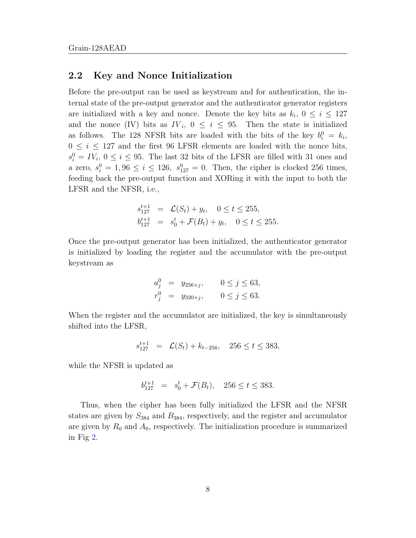### <span id="page-7-0"></span>2.2 Key and Nonce Initialization

Before the pre-output can be used as keystream and for authentication, the internal state of the pre-output generator and the authenticator generator registers are initialized with a key and nonce. Denote the key bits as  $k_i$ ,  $0 \le i \le 127$ and the nonce (IV) bits as  $IV_i$ ,  $0 \leq i \leq 95$ . Then the state is initialized as follows. The 128 NFSR bits are loaded with the bits of the key  $b_i^0 = k_i$ ,  $0 \leq i \leq 127$  and the first 96 LFSR elements are loaded with the nonce bits,  $s_i^0 = IV_i$ ,  $0 \le i \le 95$ . The last 32 bits of the LFSR are filled with 31 ones and a zero,  $s_i^0 = 1,96 \le i \le 126$ ,  $s_{127}^0 = 0$ . Then, the cipher is clocked 256 times, feeding back the pre-output function and XORing it with the input to both the LFSR and the NFSR, i.e.,

$$
s_{127}^{t+1} = \mathcal{L}(S_t) + y_t, \quad 0 \le t \le 255,
$$
  
\n
$$
b_{127}^{t+1} = s_0^t + \mathcal{F}(B_t) + y_t, \quad 0 \le t \le 255.
$$

Once the pre-output generator has been initialized, the authenticator generator is initialized by loading the register and the accumulator with the pre-output keystream as

$$
a_j^0 = y_{256+j},
$$
  $0 \le j \le 63,$   
 $r_j^0 = y_{320+j},$   $0 \le j \le 63.$ 

When the register and the accumulator are initialized, the key is simultaneously shifted into the LFSR,

$$
s_{127}^{t+1} = \mathcal{L}(S_t) + k_{t-256}, \quad 256 \le t \le 383,
$$

while the NFSR is updated as

$$
b_{127}^{t+1} = s_0^t + \mathcal{F}(B_t), \quad 256 \le t \le 383.
$$

Thus, when the cipher has been fully initialized the LFSR and the NFSR states are given by  $S_{384}$  and  $B_{384}$ , respectively, and the register and accumulator are given by  $R_0$  and  $A_0$ , respectively. The initialization procedure is summarized in Fig [2.](#page-8-1)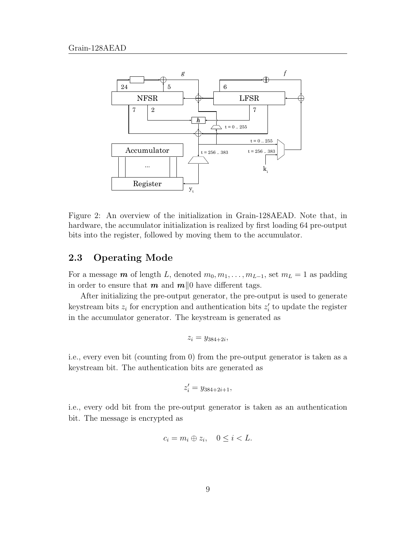

<span id="page-8-1"></span>Figure 2: An overview of the initialization in Grain-128AEAD. Note that, in hardware, the accumulator initialization is realized by first loading 64 pre-output bits into the register, followed by moving them to the accumulator.

## <span id="page-8-0"></span>2.3 Operating Mode

For a message  $m$  of length L, denoted  $m_0, m_1, \ldots, m_{L-1}$ , set  $m_L = 1$  as padding in order to ensure that **m** and **m**||0 have different tags.

After initializing the pre-output generator, the pre-output is used to generate keystream bits  $z_i$  for encryption and authentication bits  $z'_i$  to update the register in the accumulator generator. The keystream is generated as

$$
z_i = y_{384+2i},
$$

i.e., every even bit (counting from 0) from the pre-output generator is taken as a keystream bit. The authentication bits are generated as

$$
z_i' = y_{384 + 2i + 1},
$$

i.e., every odd bit from the pre-output generator is taken as an authentication bit. The message is encrypted as

$$
c_i = m_i \oplus z_i, \quad 0 \le i < L.
$$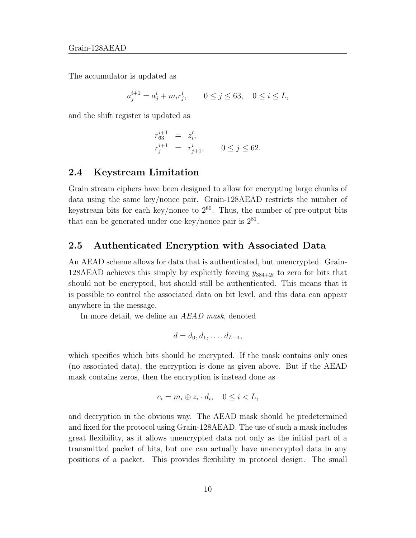The accumulator is updated as

$$
a_j^{i+1} = a_j^i + m_i r_j^i, \qquad 0 \le j \le 63, \quad 0 \le i \le L,
$$

and the shift register is updated as

$$
r_{63}^{i+1} = z'_i,
$$
  
\n
$$
r_j^{i+1} = r_{j+1}^i, \qquad 0 \le j \le 62.
$$

### <span id="page-9-0"></span>2.4 Keystream Limitation

Grain stream ciphers have been designed to allow for encrypting large chunks of data using the same key/nonce pair. Grain-128AEAD restricts the number of keystream bits for each key/nonce to  $2^{80}$ . Thus, the number of pre-output bits that can be generated under one key/nonce pair is  $2^{81}$ .

### <span id="page-9-1"></span>2.5 Authenticated Encryption with Associated Data

An AEAD scheme allows for data that is authenticated, but unencrypted. Grain-128AEAD achieves this simply by explicitly forcing  $y_{384+2i}$  to zero for bits that should not be encrypted, but should still be authenticated. This means that it is possible to control the associated data on bit level, and this data can appear anywhere in the message.

In more detail, we define an AEAD mask, denoted

$$
d=d_0,d_1,\ldots,d_{L-1},
$$

which specifies which bits should be encrypted. If the mask contains only ones (no associated data), the encryption is done as given above. But if the AEAD mask contains zeros, then the encryption is instead done as

$$
c_i = m_i \oplus z_i \cdot d_i, \quad 0 \le i < L,
$$

and decryption in the obvious way. The AEAD mask should be predetermined and fixed for the protocol using Grain-128AEAD. The use of such a mask includes great flexibility, as it allows unencrypted data not only as the initial part of a transmitted packet of bits, but one can actually have unencrypted data in any positions of a packet. This provides flexibility in protocol design. The small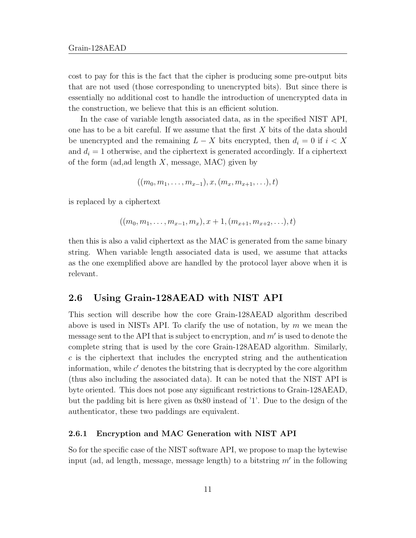cost to pay for this is the fact that the cipher is producing some pre-output bits that are not used (those corresponding to unencrypted bits). But since there is essentially no additional cost to handle the introduction of unencrypted data in the construction, we believe that this is an efficient solution.

In the case of variable length associated data, as in the specified NIST API, one has to be a bit careful. If we assume that the first X bits of the data should be unencrypted and the remaining  $L - X$  bits encrypted, then  $d_i = 0$  if  $i < X$ and  $d_i = 1$  otherwise, and the ciphertext is generated accordingly. If a ciphertext of the form (ad, ad length  $X$ , message, MAC) given by

$$
((m_0, m_1, \ldots, m_{x-1}), x, (m_x, m_{x+1}, \ldots), t)
$$

is replaced by a ciphertext

$$
((m_0, m_1, \ldots, m_{x-1}, m_x), x+1, (m_{x+1}, m_{x+2}, \ldots), t)
$$

then this is also a valid ciphertext as the MAC is generated from the same binary string. When variable length associated data is used, we assume that attacks as the one exemplified above are handled by the protocol layer above when it is relevant.

### <span id="page-10-0"></span>2.6 Using Grain-128AEAD with NIST API

This section will describe how the core Grain-128AEAD algorithm described above is used in NISTs API. To clarify the use of notation, by  $m$  we mean the message sent to the API that is subject to encryption, and  $m'$  is used to denote the complete string that is used by the core Grain-128AEAD algorithm. Similarly,  $c$  is the ciphertext that includes the encrypted string and the authentication information, while  $c'$  denotes the bitstring that is decrypted by the core algorithm (thus also including the associated data). It can be noted that the NIST API is byte oriented. This does not pose any significant restrictions to Grain-128AEAD, but the padding bit is here given as 0x80 instead of '1'. Due to the design of the authenticator, these two paddings are equivalent.

#### 2.6.1 Encryption and MAC Generation with NIST API

So for the specific case of the NIST software API, we propose to map the bytewise input (ad, ad length, message, message length) to a bitstring  $m'$  in the following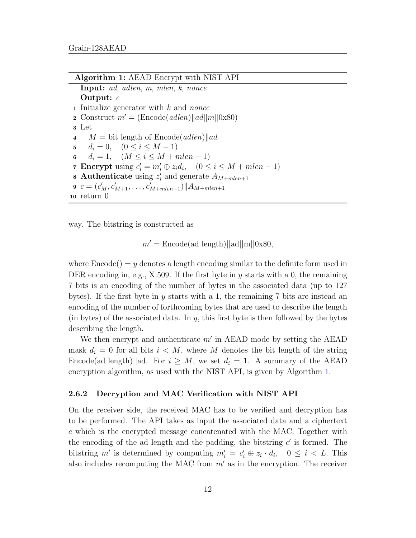Algorithm 1: AEAD Encrypt with NIST API

<span id="page-11-0"></span>Input: ad, adlen, m, mlen, k, nonce Output:  $c$ 1 Initialize generator with  $k$  and nonce 2 Construct  $m' = (Encode(adlen)||ad||m||0x80)$ <sup>3</sup> Let 4  $M = \text{bit length of } \text{Encode}(adlen)||ad)$ 5  $d_i = 0$ ,  $(0 \le i \le M - 1)$  $d_i = 1, \quad (M \leq i \leq M + mlen - 1)$ 7 **Encrypt** using  $c'_i = m'_i \oplus z_i d_i$ ,  $(0 \le i \le M + mlen - 1)$ **8 Authenticate** using  $z_i'$  and generate  $A_{M+mlen+1}$ 9  $c = (c'_{M}, c'_{M+1}, \ldots, c'_{M+mlen-1}) || A_{M+mlen+1}$ <sup>10</sup> return 0

way. The bitstring is constructed as

 $m' =$  Encode(ad length)||ad||m||0x80,

where  $\text{Encode}() = y$  denotes a length encoding similar to the definite form used in DER encoding in, e.g., X.509. If the first byte in  $y$  starts with a 0, the remaining 7 bits is an encoding of the number of bytes in the associated data (up to 127 bytes). If the first byte in y starts with a 1, the remaining 7 bits are instead an encoding of the number of forthcoming bytes that are used to describe the length (in bytes) of the associated data. In  $y$ , this first byte is then followed by the bytes describing the length.

We then encrypt and authenticate  $m'$  in AEAD mode by setting the AEAD mask  $d_i = 0$  for all bits  $i < M$ , where M denotes the bit length of the string Encode(ad length)||ad. For  $i \geq M$ , we set  $d_i = 1$ . A summary of the AEAD encryption algorithm, as used with the NIST API, is given by Algorithm [1.](#page-11-0)

#### 2.6.2 Decryption and MAC Verification with NIST API

On the receiver side, the received MAC has to be verified and decryption has to be performed. The API takes as input the associated data and a ciphertext c which is the encrypted message concatenated with the MAC. Together with the encoding of the ad length and the padding, the bitstring  $c'$  is formed. The bitstring m' is determined by computing  $m'_i = c'_i \oplus z_i \cdot d_i$ ,  $0 \le i \le L$ . This also includes recomputing the MAC from  $m'$  as in the encryption. The receiver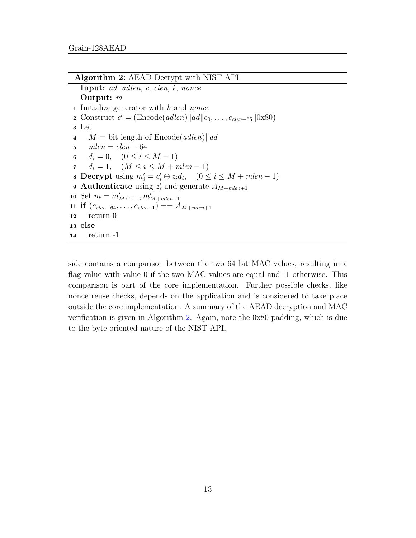<span id="page-12-0"></span>Algorithm 2: AEAD Decrypt with NIST API Input: ad, adlen, c, clen, k, nonce Output: m <sup>1</sup> Initialize generator with k and nonce 2 Construct  $c' = (\text{Encode}(adlen)||ad||c_0, \ldots, c_{clean-65}||0x80)$ <sup>3</sup> Let 4  $M = \text{bit length of } E$ ncode $(\text{adlen})||\text{ad}$  $5$  mlen = clen – 64 6  $d_i = 0$ ,  $(0 \le i \le M - 1)$ 7  $d_i = 1$ ,  $(M \leq i \leq M + mlen - 1)$ **8 Decrypt** using  $m'_i = c'_i \oplus z_i d_i$ ,  $(0 \le i \le M + mlen - 1)$ **9 Authenticate** using  $z_i'$  and generate  $A_{M+mlen+1}$ 10 Set  $m = m'_M, \ldots, m'_{M+mlen-1}$ 11 if  $(c_{clean-64}, \ldots, c_{clean-1}) = A_{M+mlen+1}$ <sup>12</sup> return 0 <sup>13</sup> else <sup>14</sup> return -1

side contains a comparison between the two 64 bit MAC values, resulting in a flag value with value 0 if the two MAC values are equal and -1 otherwise. This comparison is part of the core implementation. Further possible checks, like nonce reuse checks, depends on the application and is considered to take place outside the core implementation. A summary of the AEAD decryption and MAC verification is given in Algorithm [2.](#page-12-0) Again, note the 0x80 padding, which is due to the byte oriented nature of the NIST API.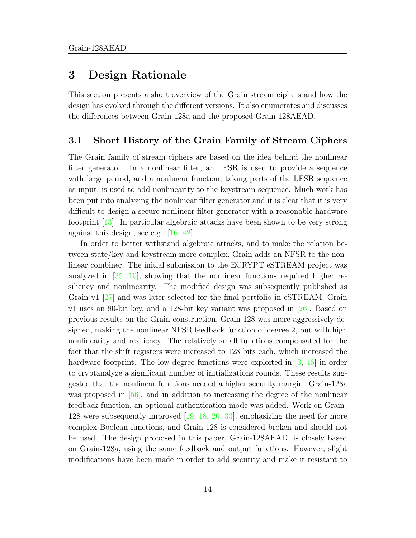## <span id="page-13-0"></span>3 Design Rationale

This section presents a short overview of the Grain stream ciphers and how the design has evolved through the different versions. It also enumerates and discusses the differences between Grain-128a and the proposed Grain-128AEAD.

### <span id="page-13-1"></span>3.1 Short History of the Grain Family of Stream Ciphers

The Grain family of stream ciphers are based on the idea behind the nonlinear filter generator. In a nonlinear filter, an LFSR is used to provide a sequence with large period, and a nonlinear function, taking parts of the LFSR sequence as input, is used to add nonlinearity to the keystream sequence. Much work has been put into analyzing the nonlinear filter generator and it is clear that it is very difficult to design a secure nonlinear filter generator with a reasonable hardware footprint [\[13\]](#page-31-0). In particular algebraic attacks have been shown to be very strong against this design, see e.g., [\[16,](#page-32-0) [42\]](#page-34-0).

In order to better withstand algebraic attacks, and to make the relation between state/key and keystream more complex, Grain adds an NFSR to the nonlinear combiner. The initial submission to the ECRYPT eSTREAM project was analyzed in [\[35,](#page-34-1) [10\]](#page-31-1), showing that the nonlinear functions required higher resiliency and nonlinearity. The modified design was subsequently published as Grain v1 [\[27\]](#page-33-0) and was later selected for the final portfolio in eSTREAM. Grain v1 uses an 80-bit key, and a 128-bit key variant was proposed in [\[26\]](#page-33-1). Based on previous results on the Grain construction, Grain-128 was more aggressively designed, making the nonlinear NFSR feedback function of degree 2, but with high nonlinearity and resiliency. The relatively small functions compensated for the fact that the shift registers were increased to 128 bits each, which increased the hardware footprint. The low degree functions were exploited in [\[3,](#page-30-0) [46\]](#page-35-1) in order to cryptanalyze a significant number of initializations rounds. These results suggested that the nonlinear functions needed a higher security margin. Grain-128a was proposed in [\[56\]](#page-36-0), and in addition to increasing the degree of the nonlinear feedback function, an optional authentication mode was added. Work on Grain-128 were subsequently improved [\[19,](#page-32-1) [18,](#page-32-2) [20,](#page-32-3) [33\]](#page-34-2), emphasizing the need for more complex Boolean functions, and Grain-128 is considered broken and should not be used. The design proposed in this paper, Grain-128AEAD, is closely based on Grain-128a, using the same feedback and output functions. However, slight modifications have been made in order to add security and make it resistant to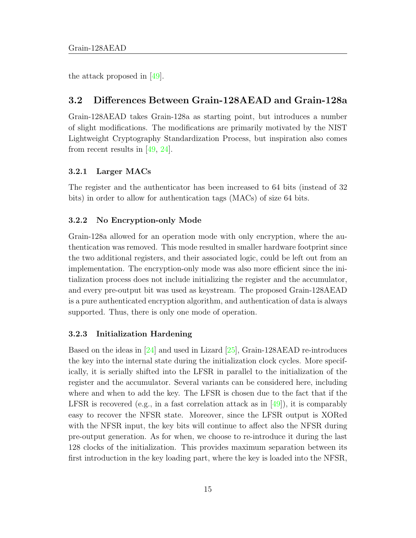the attack proposed in [\[49\]](#page-35-2).

## <span id="page-14-0"></span>3.2 Differences Between Grain-128AEAD and Grain-128a

Grain-128AEAD takes Grain-128a as starting point, but introduces a number of slight modifications. The modifications are primarily motivated by the NIST Lightweight Cryptography Standardization Process, but inspiration also comes from recent results in [\[49,](#page-35-2) [24\]](#page-33-2).

#### 3.2.1 Larger MACs

The register and the authenticator has been increased to 64 bits (instead of 32 bits) in order to allow for authentication tags (MACs) of size 64 bits.

#### 3.2.2 No Encryption-only Mode

Grain-128a allowed for an operation mode with only encryption, where the authentication was removed. This mode resulted in smaller hardware footprint since the two additional registers, and their associated logic, could be left out from an implementation. The encryption-only mode was also more efficient since the initialization process does not include initializing the register and the accumulator, and every pre-output bit was used as keystream. The proposed Grain-128AEAD is a pure authenticated encryption algorithm, and authentication of data is always supported. Thus, there is only one mode of operation.

#### 3.2.3 Initialization Hardening

Based on the ideas in [\[24\]](#page-33-2) and used in Lizard [\[25\]](#page-33-3), Grain-128AEAD re-introduces the key into the internal state during the initialization clock cycles. More specifically, it is serially shifted into the LFSR in parallel to the initialization of the register and the accumulator. Several variants can be considered here, including where and when to add the key. The LFSR is chosen due to the fact that if the LFSR is recovered (e.g., in a fast correlation attack as in  $[49]$ ), it is comparably easy to recover the NFSR state. Moreover, since the LFSR output is XORed with the NFSR input, the key bits will continue to affect also the NFSR during pre-output generation. As for when, we choose to re-introduce it during the last 128 clocks of the initialization. This provides maximum separation between its first introduction in the key loading part, where the key is loaded into the NFSR,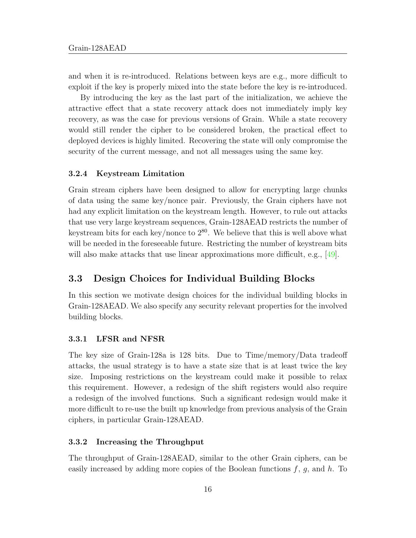and when it is re-introduced. Relations between keys are e.g., more difficult to exploit if the key is properly mixed into the state before the key is re-introduced.

By introducing the key as the last part of the initialization, we achieve the attractive effect that a state recovery attack does not immediately imply key recovery, as was the case for previous versions of Grain. While a state recovery would still render the cipher to be considered broken, the practical effect to deployed devices is highly limited. Recovering the state will only compromise the security of the current message, and not all messages using the same key.

#### 3.2.4 Keystream Limitation

Grain stream ciphers have been designed to allow for encrypting large chunks of data using the same key/nonce pair. Previously, the Grain ciphers have not had any explicit limitation on the keystream length. However, to rule out attacks that use very large keystream sequences, Grain-128AEAD restricts the number of keystream bits for each key/nonce to  $2^{80}$ . We believe that this is well above what will be needed in the foreseeable future. Restricting the number of keystream bits will also make attacks that use linear approximations more difficult, e.g., [\[49\]](#page-35-2).

## <span id="page-15-0"></span>3.3 Design Choices for Individual Building Blocks

In this section we motivate design choices for the individual building blocks in Grain-128AEAD. We also specify any security relevant properties for the involved building blocks.

#### 3.3.1 LFSR and NFSR

The key size of Grain-128a is 128 bits. Due to Time/memory/Data tradeoff attacks, the usual strategy is to have a state size that is at least twice the key size. Imposing restrictions on the keystream could make it possible to relax this requirement. However, a redesign of the shift registers would also require a redesign of the involved functions. Such a significant redesign would make it more difficult to re-use the built up knowledge from previous analysis of the Grain ciphers, in particular Grain-128AEAD.

#### 3.3.2 Increasing the Throughput

The throughput of Grain-128AEAD, similar to the other Grain ciphers, can be easily increased by adding more copies of the Boolean functions  $f, g$ , and  $h$ . To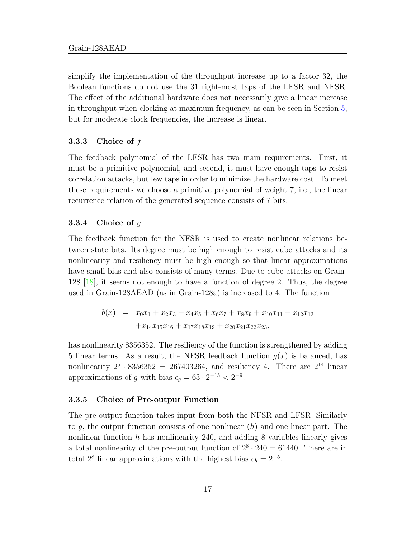simplify the implementation of the throughput increase up to a factor 32, the Boolean functions do not use the 31 right-most taps of the LFSR and NFSR. The effect of the additional hardware does not necessarily give a linear increase in throughput when clocking at maximum frequency, as can be seen in Section [5,](#page-24-1) but for moderate clock frequencies, the increase is linear.

### 3.3.3 Choice of  $f$

The feedback polynomial of the LFSR has two main requirements. First, it must be a primitive polynomial, and second, it must have enough taps to resist correlation attacks, but few taps in order to minimize the hardware cost. To meet these requirements we choose a primitive polynomial of weight 7, i.e., the linear recurrence relation of the generated sequence consists of 7 bits.

#### 3.3.4 Choice of  $q$

The feedback function for the NFSR is used to create nonlinear relations between state bits. Its degree must be high enough to resist cube attacks and its nonlinearity and resiliency must be high enough so that linear approximations have small bias and also consists of many terms. Due to cube attacks on Grain-128 [\[18\]](#page-32-2), it seems not enough to have a function of degree 2. Thus, the degree used in Grain-128AEAD (as in Grain-128a) is increased to 4. The function

$$
b(x) = x_0x_1 + x_2x_3 + x_4x_5 + x_6x_7 + x_8x_9 + x_{10}x_{11} + x_{12}x_{13}
$$

$$
+x_{14}x_{15}x_{16} + x_{17}x_{18}x_{19} + x_{20}x_{21}x_{22}x_{23},
$$

has nonlinearity 8356352. The resiliency of the function is strengthened by adding 5 linear terms. As a result, the NFSR feedback function  $q(x)$  is balanced, has nonlinearity  $2^5 \cdot 8356352 = 267403264$ , and resiliency 4. There are  $2^{14}$  linear approximations of g with bias  $\epsilon_g = 63 \cdot 2^{-15} < 2^{-9}$ .

#### 3.3.5 Choice of Pre-output Function

The pre-output function takes input from both the NFSR and LFSR. Similarly to q, the output function consists of one nonlinear  $(h)$  and one linear part. The nonlinear function  $h$  has nonlinearity 240, and adding 8 variables linearly gives a total nonlinearity of the pre-output function of  $2^8 \cdot 240 = 61440$ . There are in total 2<sup>8</sup> linear approximations with the highest bias  $\epsilon_h = 2^{-5}$ .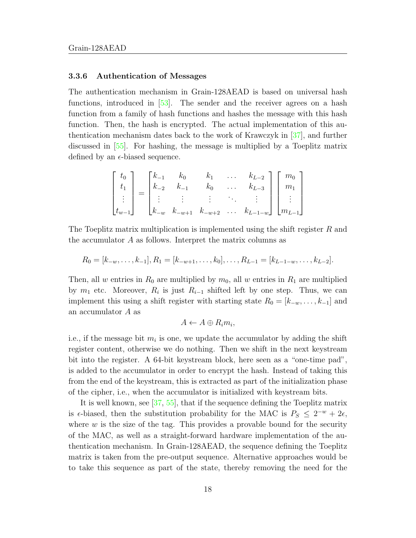#### <span id="page-17-0"></span>3.3.6 Authentication of Messages

The authentication mechanism in Grain-128AEAD is based on universal hash functions, introduced in [\[53\]](#page-36-1). The sender and the receiver agrees on a hash function from a family of hash functions and hashes the message with this hash function. Then, the hash is encrypted. The actual implementation of this authentication mechanism dates back to the work of Krawczyk in [\[37\]](#page-34-3), and further discussed in [\[55\]](#page-36-2). For hashing, the message is multiplied by a Toeplitz matrix defined by an  $\epsilon$ -biased sequence.

$$
\begin{bmatrix} t_0 \\ t_1 \\ \vdots \\ t_{w-1} \end{bmatrix} = \begin{bmatrix} k_{-1} & k_0 & k_1 & \dots & k_{L-2} \\ k_{-2} & k_{-1} & k_0 & \dots & k_{L-3} \\ \vdots & \vdots & \vdots & \ddots & \vdots \\ k_{-w} & k_{-w+1} & k_{-w+2} & \dots & k_{L-1-w} \end{bmatrix} \begin{bmatrix} m_0 \\ m_1 \\ \vdots \\ m_{L-1} \end{bmatrix}
$$

The Toeplitz matrix multiplication is implemented using the shift register R and the accumulator A as follows. Interpret the matrix columns as

$$
R_0 = [k_{-w}, \ldots, k_{-1}], R_1 = [k_{-w+1}, \ldots, k_0], \ldots, R_{L-1} = [k_{L-1-w}, \ldots, k_{L-2}].
$$

Then, all w entries in  $R_0$  are multiplied by  $m_0$ , all w entries in  $R_1$  are multiplied by  $m_1$  etc. Moreover,  $R_i$  is just  $R_{i-1}$  shifted left by one step. Thus, we can implement this using a shift register with starting state  $R_0 = [k_{-w}, \ldots, k_{-1}]$  and an accumulator A as

$$
A \leftarrow A \oplus R_i m_i,
$$

i.e., if the message bit  $m_i$  is one, we update the accumulator by adding the shift register content, otherwise we do nothing. Then we shift in the next keystream bit into the register. A 64-bit keystream block, here seen as a "one-time pad", is added to the accumulator in order to encrypt the hash. Instead of taking this from the end of the keystream, this is extracted as part of the initialization phase of the cipher, i.e., when the accumulator is initialized with keystream bits.

It is well known, see [\[37,](#page-34-3) [55\]](#page-36-2), that if the sequence defining the Toeplitz matrix is  $\epsilon$ -biased, then the substitution probability for the MAC is  $P_S \leq 2^{-w} + 2\epsilon$ , where  $w$  is the size of the tag. This provides a provable bound for the security of the MAC, as well as a straight-forward hardware implementation of the authentication mechanism. In Grain-128AEAD, the sequence defining the Toeplitz matrix is taken from the pre-output sequence. Alternative approaches would be to take this sequence as part of the state, thereby removing the need for the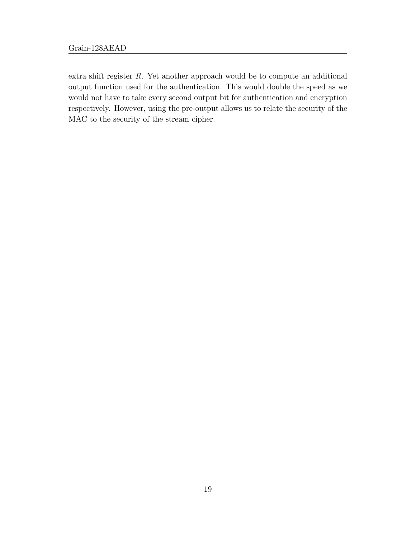extra shift register R. Yet another approach would be to compute an additional output function used for the authentication. This would double the speed as we would not have to take every second output bit for authentication and encryption respectively. However, using the pre-output allows us to relate the security of the MAC to the security of the stream cipher.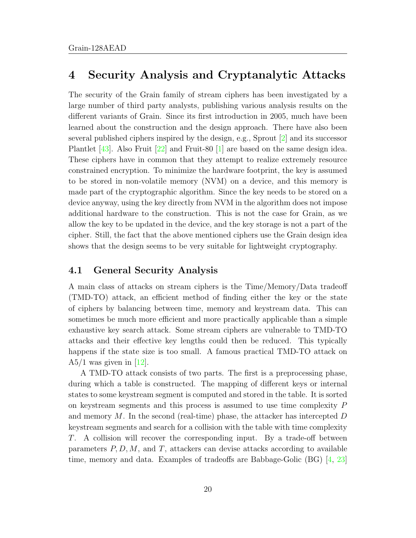## <span id="page-19-0"></span>4 Security Analysis and Cryptanalytic Attacks

The security of the Grain family of stream ciphers has been investigated by a large number of third party analysts, publishing various analysis results on the different variants of Grain. Since its first introduction in 2005, much have been learned about the construction and the design approach. There have also been several published ciphers inspired by the design, e.g., Sprout [\[2\]](#page-30-1) and its successor Plantlet [\[43\]](#page-35-3). Also Fruit [\[22\]](#page-32-4) and Fruit-80 [\[1\]](#page-30-2) are based on the same design idea. These ciphers have in common that they attempt to realize extremely resource constrained encryption. To minimize the hardware footprint, the key is assumed to be stored in non-volatile memory (NVM) on a device, and this memory is made part of the cryptographic algorithm. Since the key needs to be stored on a device anyway, using the key directly from NVM in the algorithm does not impose additional hardware to the construction. This is not the case for Grain, as we allow the key to be updated in the device, and the key storage is not a part of the cipher. Still, the fact that the above mentioned ciphers use the Grain design idea shows that the design seems to be very suitable for lightweight cryptography.

## <span id="page-19-1"></span>4.1 General Security Analysis

A main class of attacks on stream ciphers is the Time/Memory/Data tradeoff (TMD-TO) attack, an efficient method of finding either the key or the state of ciphers by balancing between time, memory and keystream data. This can sometimes be much more efficient and more practically applicable than a simple exhaustive key search attack. Some stream ciphers are vulnerable to TMD-TO attacks and their effective key lengths could then be reduced. This typically happens if the state size is too small. A famous practical TMD-TO attack on  $A5/1$  was given in [\[12\]](#page-31-2).

A TMD-TO attack consists of two parts. The first is a preprocessing phase, during which a table is constructed. The mapping of different keys or internal states to some keystream segment is computed and stored in the table. It is sorted on keystream segments and this process is assumed to use time complexity P and memory  $M$ . In the second (real-time) phase, the attacker has intercepted  $D$ keystream segments and search for a collision with the table with time complexity T. A collision will recover the corresponding input. By a trade-off between parameters  $P, D, M$ , and  $T$ , attackers can devise attacks according to available time, memory and data. Examples of tradeoffs are Babbage-Golic (BG) [\[4,](#page-30-3) [23\]](#page-33-4)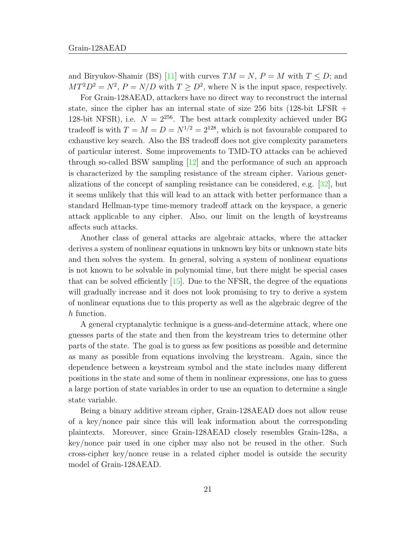and Biryukov-Shamir (BS) [\[11\]](#page-31-3) with curves  $TM = N$ ,  $P = M$  with  $T \le D$ ; and  $MT^{2}D^{2} = N^{2}$ ,  $P = N/D$  with  $T \geq D^{2}$ , where N is the input space, respectively.

For Grain-128AEAD, attackers have no direct way to reconstruct the internal state, since the cipher has an internal state of size 256 bits (128-bit LFSR + 128-bit NFSR), i.e.  $N = 2^{256}$ . The best attack complexity achieved under BG tradeoff is with  $T = M = D = N^{1/2} = 2^{128}$ , which is not favourable compared to exhaustive key search. Also the BS tradeoff does not give complexity parameters of particular interest. Some improvements to TMD-TO attacks can be achieved through so-called BSW sampling [\[12\]](#page-31-2) and the performance of such an approach is characterized by the sampling resistance of the stream cipher. Various generalizations of the concept of sampling resistance can be considered, e.g. [\[32\]](#page-33-5), but it seems unlikely that this will lead to an attack with better performance than a standard Hellman-type time-memory tradeoff attack on the keyspace, a generic attack applicable to any cipher. Also, our limit on the length of keystreams affects such attacks.

Another class of general attacks are algebraic attacks, where the attacker derives a system of nonlinear equations in unknown key bits or unknown state bits and then solves the system. In general, solving a system of nonlinear equations is not known to be solvable in polynomial time, but there might be special cases that can be solved efficiently  $[15]$ . Due to the NFSR, the degree of the equations will gradually increase and it does not look promising to try to derive a system of nonlinear equations due to this property as well as the algebraic degree of the h function.

A general cryptanalytic technique is a guess-and-determine attack, where one guesses parts of the state and then from the keystream tries to determine other parts of the state. The goal is to guess as few positions as possible and determine as many as possible from equations involving the keystream. Again, since the dependence between a keystream symbol and the state includes many different positions in the state and some of them in nonlinear expressions, one has to guess a large portion of state variables in order to use an equation to determine a single state variable.

Being a binary additive stream cipher, Grain-128AEAD does not allow reuse of a key/nonce pair since this will leak information about the corresponding plaintexts. Moreover, since Grain-128AEAD closely resembles Grain-128a, a key/nonce pair used in one cipher may also not be reused in the other. Such cross-cipher key/nonce reuse in a related cipher model is outside the security model of Grain-128AEAD.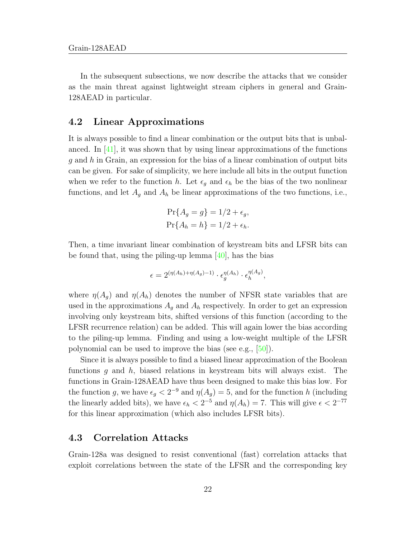In the subsequent subsections, we now describe the attacks that we consider as the main threat against lightweight stream ciphers in general and Grain-128AEAD in particular.

### <span id="page-21-0"></span>4.2 Linear Approximations

It is always possible to find a linear combination or the output bits that is unbalanced. In  $[41]$ , it was shown that by using linear approximations of the functions  $g$  and  $h$  in Grain, an expression for the bias of a linear combination of output bits can be given. For sake of simplicity, we here include all bits in the output function when we refer to the function h. Let  $\epsilon_g$  and  $\epsilon_h$  be the bias of the two nonlinear functions, and let  $A_g$  and  $A_h$  be linear approximations of the two functions, i.e.,

$$
\Pr\{A_g = g\} = 1/2 + \epsilon_g,
$$
  

$$
\Pr\{A_h = h\} = 1/2 + \epsilon_h.
$$

Then, a time invariant linear combination of keystream bits and LFSR bits can be found that, using the piling-up lemma  $[40]$ , has the bias

$$
\epsilon = 2^{(\eta(A_h) + \eta(A_g) - 1)} \cdot \epsilon_g^{\eta(A_h)} \cdot \epsilon_h^{\eta(A_g)},
$$

where  $\eta(A_q)$  and  $\eta(A_h)$  denotes the number of NFSR state variables that are used in the approximations  $A_g$  and  $A_h$  respectively. In order to get an expression involving only keystream bits, shifted versions of this function (according to the LFSR recurrence relation) can be added. This will again lower the bias according to the piling-up lemma. Finding and using a low-weight multiple of the LFSR polynomial can be used to improve the bias (see e.g., [\[50\]](#page-35-4)).

Since it is always possible to find a biased linear approximation of the Boolean functions q and h, biased relations in keystream bits will always exist. The functions in Grain-128AEAD have thus been designed to make this bias low. For the function g, we have  $\epsilon_g < 2^{-9}$  and  $\eta(A_g) = 5$ , and for the function h (including the linearly added bits), we have  $\epsilon_h < 2^{-5}$  and  $\eta(A_h) = 7$ . This will give  $\epsilon < 2^{-77}$ for this linear approximation (which also includes LFSR bits).

### <span id="page-21-1"></span>4.3 Correlation Attacks

Grain-128a was designed to resist conventional (fast) correlation attacks that exploit correlations between the state of the LFSR and the corresponding key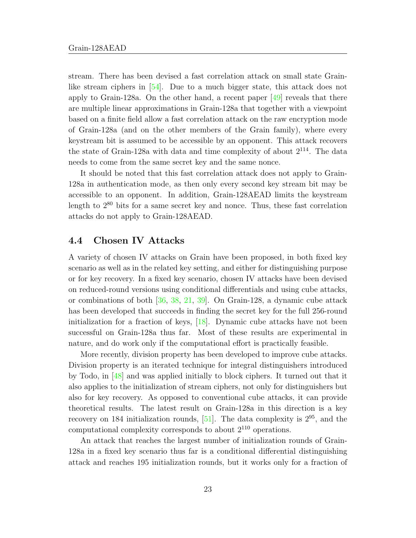stream. There has been devised a fast correlation attack on small state Grainlike stream ciphers in [\[54\]](#page-36-3). Due to a much bigger state, this attack does not apply to Grain-128a. On the other hand, a recent paper [\[49\]](#page-35-2) reveals that there are multiple linear approximations in Grain-128a that together with a viewpoint based on a finite field allow a fast correlation attack on the raw encryption mode of Grain-128a (and on the other members of the Grain family), where every keystream bit is assumed to be accessible by an opponent. This attack recovers the state of Grain-128a with data and time complexity of about  $2^{114}$ . The data needs to come from the same secret key and the same nonce.

It should be noted that this fast correlation attack does not apply to Grain-128a in authentication mode, as then only every second key stream bit may be accessible to an opponent. In addition, Grain-128AEAD limits the keystream length to  $2^{80}$  bits for a same secret key and nonce. Thus, these fast correlation attacks do not apply to Grain-128AEAD.

## <span id="page-22-0"></span>4.4 Chosen IV Attacks

A variety of chosen IV attacks on Grain have been proposed, in both fixed key scenario as well as in the related key setting, and either for distinguishing purpose or for key recovery. In a fixed key scenario, chosen IV attacks have been devised on reduced-round versions using conditional differentials and using cube attacks, or combinations of both [\[36,](#page-34-6) [38,](#page-34-7) [21,](#page-32-6) [39\]](#page-34-8). On Grain-128, a dynamic cube attack has been developed that succeeds in finding the secret key for the full 256-round initialization for a fraction of keys, [\[18\]](#page-32-2). Dynamic cube attacks have not been successful on Grain-128a thus far. Most of these results are experimental in nature, and do work only if the computational effort is practically feasible.

More recently, division property has been developed to improve cube attacks. Division property is an iterated technique for integral distinguishers introduced by Todo, in [\[48\]](#page-35-5) and was applied initially to block ciphers. It turned out that it also applies to the initialization of stream ciphers, not only for distinguishers but also for key recovery. As opposed to conventional cube attacks, it can provide theoretical results. The latest result on Grain-128a in this direction is a key recovery on 184 initialization rounds,  $[51]$ . The data complexity is  $2^{95}$ , and the computational complexity corresponds to about  $2^{110}$  operations.

An attack that reaches the largest number of initialization rounds of Grain-128a in a fixed key scenario thus far is a conditional differential distinguishing attack and reaches 195 initialization rounds, but it works only for a fraction of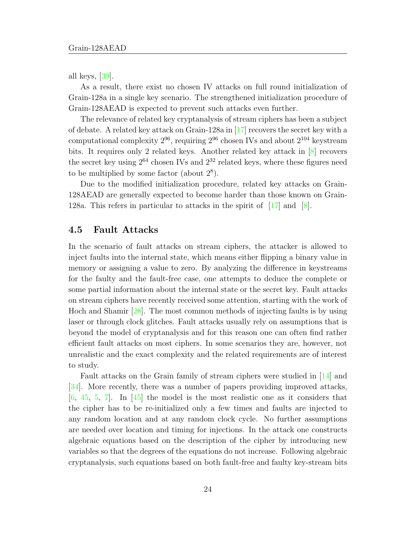all keys, [\[39\]](#page-34-8).

As a result, there exist no chosen IV attacks on full round initialization of Grain-128a in a single key scenario. The strengthened initialization procedure of Grain-128AEAD is expected to prevent such attacks even further.

The relevance of related key cryptanalysis of stream ciphers has been a subject of debate. A related key attack on Grain-128a in [\[17\]](#page-32-7) recovers the secret key with a computational complexity  $2^{96}$ , requiring  $2^{96}$  chosen IVs and about  $2^{104}$  keystream bits. It requires only 2 related keys. Another related key attack in [\[8\]](#page-31-4) recovers the secret key using  $2^{64}$  chosen IVs and  $2^{32}$  related keys, where these figures need to be multiplied by some factor (about  $2^8$ ).

Due to the modified initialization procedure, related key attacks on Grain-128AEAD are generally expected to become harder than those known on Grain-128a. This refers in particular to attacks in the spirit of [\[17\]](#page-32-7) and [\[8\]](#page-31-4).

## <span id="page-23-0"></span>4.5 Fault Attacks

In the scenario of fault attacks on stream ciphers, the attacker is allowed to inject faults into the internal state, which means either flipping a binary value in memory or assigning a value to zero. By analyzing the difference in keystreams for the faulty and the fault-free case, one attempts to deduce the complete or some partial information about the internal state or the secret key. Fault attacks on stream ciphers have recently received some attention, starting with the work of Hoch and Shamir [\[28\]](#page-33-6). The most common methods of injecting faults is by using laser or through clock glitches. Fault attacks usually rely on assumptions that is beyond the model of cryptanalysis and for this reason one can often find rather efficient fault attacks on most ciphers. In some scenarios they are, however, not unrealistic and the exact complexity and the related requirements are of interest to study.

Fault attacks on the Grain family of stream ciphers were studied in [\[14\]](#page-31-5) and [\[34\]](#page-34-9). More recently, there was a number of papers providing improved attacks, [\[6,](#page-31-6) [45,](#page-35-7) [5,](#page-30-4) [7\]](#page-31-7). In [\[45\]](#page-35-7) the model is the most realistic one as it considers that the cipher has to be re-initialized only a few times and faults are injected to any random location and at any random clock cycle. No further assumptions are needed over location and timing for injections. In the attack one constructs algebraic equations based on the description of the cipher by introducing new variables so that the degrees of the equations do not increase. Following algebraic cryptanalysis, such equations based on both fault-free and faulty key-stream bits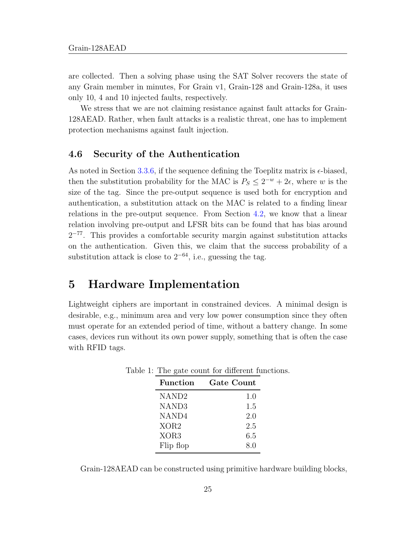are collected. Then a solving phase using the SAT Solver recovers the state of any Grain member in minutes, For Grain v1, Grain-128 and Grain-128a, it uses only 10, 4 and 10 injected faults, respectively.

We stress that we are not claiming resistance against fault attacks for Grain-128AEAD. Rather, when fault attacks is a realistic threat, one has to implement protection mechanisms against fault injection.

## <span id="page-24-0"></span>4.6 Security of the Authentication

As noted in Section [3.3.6,](#page-17-0) if the sequence defining the Toeplitz matrix is  $\epsilon$ -biased, then the substitution probability for the MAC is  $P_S \leq 2^{-w} + 2\epsilon$ , where w is the size of the tag. Since the pre-output sequence is used both for encryption and authentication, a substitution attack on the MAC is related to a finding linear relations in the pre-output sequence. From Section [4.2,](#page-21-0) we know that a linear relation involving pre-output and LFSR bits can be found that has bias around  $2^{-77}$ . This provides a comfortable security margin against substitution attacks on the authentication. Given this, we claim that the success probability of a substitution attack is close to  $2^{-64}$ , i.e., guessing the tag.

## <span id="page-24-1"></span>5 Hardware Implementation

Lightweight ciphers are important in constrained devices. A minimal design is desirable, e.g., minimum area and very low power consumption since they often must operate for an extended period of time, without a battery change. In some cases, devices run without its own power supply, something that is often the case with RFID tags.

<span id="page-24-2"></span>

| <b>Function</b>   | Gate Count |
|-------------------|------------|
| NAND <sub>2</sub> | 1.0        |
| NAND <sub>3</sub> | 1.5        |
| NAND <sub>4</sub> | 2.0        |
| XOR <sub>2</sub>  | 2.5        |
| XOR <sub>3</sub>  | 6.5        |
| Flip flop         | 80         |

Table 1: The gate count for different functions.

Grain-128AEAD can be constructed using primitive hardware building blocks,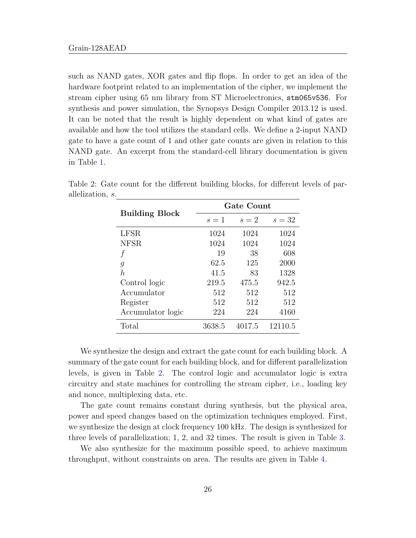such as NAND gates, XOR gates and flip flops. In order to get an idea of the hardware footprint related to an implementation of the cipher, we implement the stream cipher using 65 nm library from ST Microelectronics, stm065v536. For synthesis and power simulation, the Synopsys Design Compiler 2013.12 is used. It can be noted that the result is highly dependent on what kind of gates are available and how the tool utilizes the standard cells. We define a 2-input NAND gate to have a gate count of 1 and other gate counts are given in relation to this NAND gate. An excerpt from the standard-cell library documentation is given in Table [1.](#page-24-2)

<span id="page-25-0"></span>

|                       | Gate Count |        |         |  |
|-----------------------|------------|--------|---------|--|
| <b>Building Block</b> | $s=1$      | $s=2$  | $s=32$  |  |
| <b>LFSR</b>           | 1024       | 1024   | 1024    |  |
| <b>NFSR</b>           | 1024       | 1024   | 1024    |  |
|                       | 19         | 38     | 608     |  |
| g                     | 62.5       | 125    | 2000    |  |
| h.                    | 41.5       | 83     | 1328    |  |
| Control logic         | 219.5      | 475.5  | 942.5   |  |
| Accumulator           | 512        | 512    | 512     |  |
| Register              | 512        | 512    | 512     |  |
| Accumulator logic     | 224        | 224    | 4160    |  |
| Total                 | 3638.5     | 4017.5 | 12110.5 |  |

Table 2: Gate count for the different building blocks, for different levels of parallelization, s.

We synthesize the design and extract the gate count for each building block. A summary of the gate count for each building block, and for different parallelization levels, is given in Table [2.](#page-25-0) The control logic and accumulator logic is extra circuitry and state machines for controlling the stream cipher, i.e., loading key and nonce, multiplexing data, etc.

The gate count remains constant during synthesis, but the physical area, power and speed changes based on the optimization techniques employed. First, we synthesize the design at clock frequency 100 kHz. The design is synthesized for three levels of parallelization; 1, 2, and 32 times. The result is given in Table [3.](#page-26-2)

We also synthesize for the maximum possible speed, to achieve maximum throughput, without constraints on area. The results are given in Table [4.](#page-26-3)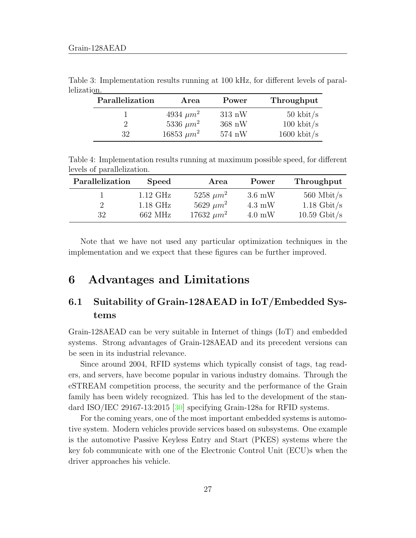<span id="page-26-2"></span>

| Parallelization | Area            | Power            | Throughput            |
|-----------------|-----------------|------------------|-----------------------|
|                 | 4934 $\mu m^2$  | $313 \text{ nW}$ | $50 \; \text{kbit/s}$ |
|                 | 5336 $\mu m^2$  | $368$ nW         | $100 \text{ kbit/s}$  |
| 32              | 16853 $\mu m^2$ | 574 nW           | $1600$ kbit/s         |

Table 3: Implementation results running at 100 kHz, for different levels of parallelization.

<span id="page-26-3"></span>Table 4: Implementation results running at maximum possible speed, for different levels of parallelization.

| Parallelization | <b>Speed</b> | Area             | Power            | Throughput             |
|-----------------|--------------|------------------|------------------|------------------------|
|                 | $1.12$ GHz   | $5258 \ \mu m^2$ | $3.6 \text{ mW}$ | $560$ Mbit/s           |
| $\overline{2}$  | $1.18$ GHz   | $5629 \ \mu m^2$ | $4.3 \text{ mW}$ | 1.18 $Gbit/s$          |
| 32              | 662 MHz      | 17632 $\mu m^2$  | $4.0 \text{ mW}$ | $10.59 \text{ Gbit/s}$ |

Note that we have not used any particular optimization techniques in the implementation and we expect that these figures can be further improved.

## <span id="page-26-0"></span>6 Advantages and Limitations

## <span id="page-26-1"></span>6.1 Suitability of Grain-128AEAD in IoT/Embedded Systems

Grain-128AEAD can be very suitable in Internet of things (IoT) and embedded systems. Strong advantages of Grain-128AEAD and its precedent versions can be seen in its industrial relevance.

Since around 2004, RFID systems which typically consist of tags, tag readers, and servers, have become popular in various industry domains. Through the eSTREAM competition process, the security and the performance of the Grain family has been widely recognized. This has led to the development of the standard ISO/IEC 29167-13:2015 [\[30\]](#page-33-7) specifying Grain-128a for RFID systems.

For the coming years, one of the most important embedded systems is automotive system. Modern vehicles provide services based on subsystems. One example is the automotive Passive Keyless Entry and Start (PKES) systems where the key fob communicate with one of the Electronic Control Unit (ECU)s when the driver approaches his vehicle.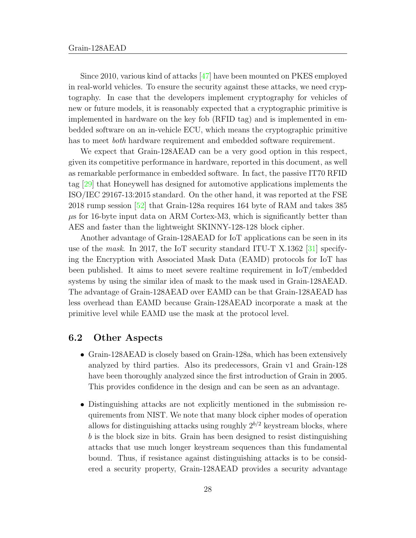Since 2010, various kind of attacks [\[47\]](#page-35-8) have been mounted on PKES employed in real-world vehicles. To ensure the security against these attacks, we need cryptography. In case that the developers implement cryptography for vehicles of new or future models, it is reasonably expected that a cryptographic primitive is implemented in hardware on the key fob (RFID tag) and is implemented in embedded software on an in-vehicle ECU, which means the cryptographic primitive has to meet *both* hardware requirement and embedded software requirement.

We expect that Grain-128AEAD can be a very good option in this respect, given its competitive performance in hardware, reported in this document, as well as remarkable performance in embedded software. In fact, the passive IT70 RFID tag [\[29\]](#page-33-8) that Honeywell has designed for automotive applications implements the ISO/IEC 29167-13:2015 standard. On the other hand, it was reported at the FSE 2018 rump session [\[52\]](#page-36-4) that Grain-128a requires 164 byte of RAM and takes 385  $\mu$ s for 16-byte input data on ARM Cortex-M3, which is significantly better than AES and faster than the lightweight SKINNY-128-128 block cipher.

Another advantage of Grain-128AEAD for IoT applications can be seen in its use of the *mask*. In 2017, the IoT security standard ITU-T X.1362 [\[31\]](#page-33-9) specifying the Encryption with Associated Mask Data (EAMD) protocols for IoT has been published. It aims to meet severe realtime requirement in IoT/embedded systems by using the similar idea of mask to the mask used in Grain-128AEAD. The advantage of Grain-128AEAD over EAMD can be that Grain-128AEAD has less overhead than EAMD because Grain-128AEAD incorporate a mask at the primitive level while EAMD use the mask at the protocol level.

### <span id="page-27-0"></span>6.2 Other Aspects

- Grain-128AEAD is closely based on Grain-128a, which has been extensively analyzed by third parties. Also its predecessors, Grain v1 and Grain-128 have been thoroughly analyzed since the first introduction of Grain in 2005. This provides confidence in the design and can be seen as an advantage.
- Distinguishing attacks are not explicitly mentioned in the submission requirements from NIST. We note that many block cipher modes of operation allows for distinguishing attacks using roughly  $2^{b/2}$  keystream blocks, where b is the block size in bits. Grain has been designed to resist distinguishing attacks that use much longer keystream sequences than this fundamental bound. Thus, if resistance against distinguishing attacks is to be considered a security property, Grain-128AEAD provides a security advantage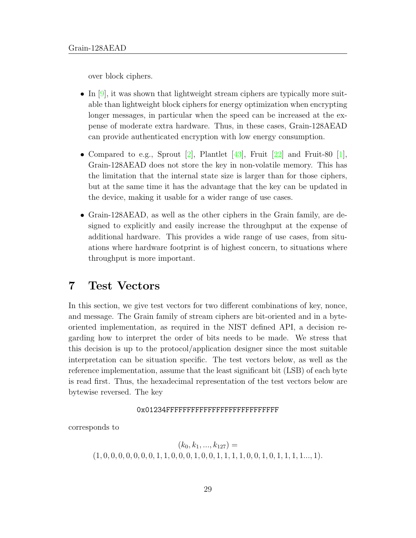over block ciphers.

- In [\[9\]](#page-31-8), it was shown that lightweight stream ciphers are typically more suitable than lightweight block ciphers for energy optimization when encrypting longer messages, in particular when the speed can be increased at the expense of moderate extra hardware. Thus, in these cases, Grain-128AEAD can provide authenticated encryption with low energy consumption.
- Compared to e.g., Sprout  $[2]$ , Plantlet  $[43]$ , Fruit  $[22]$  and Fruit-80  $[1]$ , Grain-128AEAD does not store the key in non-volatile memory. This has the limitation that the internal state size is larger than for those ciphers, but at the same time it has the advantage that the key can be updated in the device, making it usable for a wider range of use cases.
- Grain-128AEAD, as well as the other ciphers in the Grain family, are designed to explicitly and easily increase the throughput at the expense of additional hardware. This provides a wide range of use cases, from situations where hardware footprint is of highest concern, to situations where throughput is more important.

## <span id="page-28-0"></span>7 Test Vectors

In this section, we give test vectors for two different combinations of key, nonce, and message. The Grain family of stream ciphers are bit-oriented and in a byteoriented implementation, as required in the NIST defined API, a decision regarding how to interpret the order of bits needs to be made. We stress that this decision is up to the protocol/application designer since the most suitable interpretation can be situation specific. The test vectors below, as well as the reference implementation, assume that the least significant bit (LSB) of each byte is read first. Thus, the hexadecimal representation of the test vectors below are bytewise reversed. The key

#### 0x01234FFFFFFFFFFFFFFFFFFFFFFFFFFF

corresponds to

(k0, k1, ..., k127) = (1, 0, 0, 0, 0, 0, 0, 0, 1, 1, 0, 0, 0, 1, 0, 0, 1, 1, 1, 1, 0, 0, 1, 0, 1, 1, 1, 1..., 1).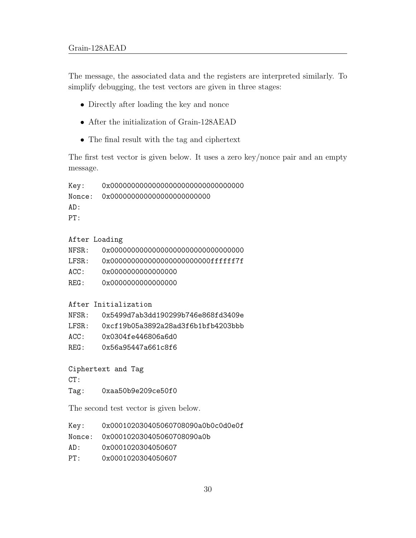The message, the associated data and the registers are interpreted similarly. To simplify debugging, the test vectors are given in three stages:

- Directly after loading the key and nonce
- After the initialization of Grain-128AEAD
- The final result with the tag and ciphertext

The first test vector is given below. It uses a zero key/nonce pair and an empty message.

Key: 0x00000000000000000000000000000000 Nonce: 0x000000000000000000000000 AD: PT: After Loading

| NFSR: |                                     |
|-------|-------------------------------------|
| LFSR: | 0x0000000000000000000000000ffffff7f |

- ACC: 0x0000000000000000
- REG: 0x0000000000000000

After Initialization

- NFSR: 0x5499d7ab3dd190299b746e868fd3409e
- LFSR: 0xcf19b05a3892a28ad3f6b1bfb4203bbb
- ACC: 0x0304fe446806a6d0
- REG: 0x56a95447a661c8f6

Ciphertext and Tag

CT:

Tag: 0xaa50b9e209ce50f0

The second test vector is given below.

Key: 0x000102030405060708090a0b0c0d0e0f

Nonce: 0x000102030405060708090a0b

- AD: 0x0001020304050607
- PT: 0x0001020304050607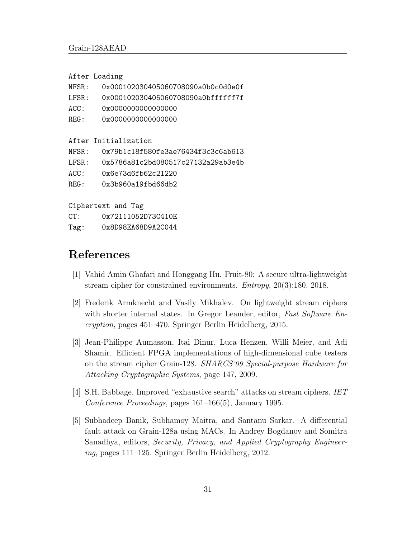Grain-128AEAD

After Loading

- NFSR: 0x000102030405060708090a0b0c0d0e0f
- LFSR: 0x000102030405060708090a0bffffff7f
- ACC: 0x0000000000000000
- REG: 0x0000000000000000

After Initialization

NFSR: 0x79b1c18f580fe3ae76434f3c3c6ab613

LFSR: 0x5786a81c2bd080517c27132a29ab3e4b

ACC: 0x6e73d6fb62c21220

REG: 0x3b960a19fbd66db2

Ciphertext and Tag

CT: 0x72111052D73C410E

Tag: 0x8D98EA68D9A2C044

## References

- <span id="page-30-2"></span>[1] Vahid Amin Ghafari and Honggang Hu. Fruit-80: A secure ultra-lightweight stream cipher for constrained environments. *Entropy*, 20(3):180, 2018.
- <span id="page-30-1"></span>[2] Frederik Armknecht and Vasily Mikhalev. On lightweight stream ciphers with shorter internal states. In Gregor Leander, editor, Fast Software Encryption, pages 451–470. Springer Berlin Heidelberg, 2015.
- <span id="page-30-0"></span>[3] Jean-Philippe Aumasson, Itai Dinur, Luca Henzen, Willi Meier, and Adi Shamir. Efficient FPGA implementations of high-dimensional cube testers on the stream cipher Grain-128. SHARCS'09 Special-purpose Hardware for Attacking Cryptographic Systems, page 147, 2009.
- <span id="page-30-3"></span>[4] S.H. Babbage. Improved "exhaustive search" attacks on stream ciphers. IET Conference Proceedings, pages 161–166(5), January 1995.
- <span id="page-30-4"></span>[5] Subhadeep Banik, Subhamoy Maitra, and Santanu Sarkar. A differential fault attack on Grain-128a using MACs. In Andrey Bogdanov and Somitra Sanadhya, editors, Security, Privacy, and Applied Cryptography Engineering, pages 111–125. Springer Berlin Heidelberg, 2012.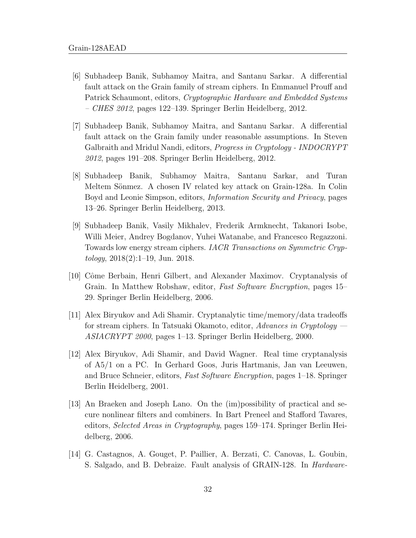- <span id="page-31-6"></span>[6] Subhadeep Banik, Subhamoy Maitra, and Santanu Sarkar. A differential fault attack on the Grain family of stream ciphers. In Emmanuel Prouff and Patrick Schaumont, editors, Cryptographic Hardware and Embedded Systems  $-$  CHES 2012, pages 122–139. Springer Berlin Heidelberg, 2012.
- <span id="page-31-7"></span>[7] Subhadeep Banik, Subhamoy Maitra, and Santanu Sarkar. A differential fault attack on the Grain family under reasonable assumptions. In Steven Galbraith and Mridul Nandi, editors, Progress in Cryptology - INDOCRYPT 2012, pages 191–208. Springer Berlin Heidelberg, 2012.
- <span id="page-31-4"></span>[8] Subhadeep Banik, Subhamoy Maitra, Santanu Sarkar, and Turan Meltem Sönmez. A chosen IV related key attack on Grain-128a. In Colin Boyd and Leonie Simpson, editors, Information Security and Privacy, pages 13–26. Springer Berlin Heidelberg, 2013.
- <span id="page-31-8"></span>[9] Subhadeep Banik, Vasily Mikhalev, Frederik Armknecht, Takanori Isobe, Willi Meier, Andrey Bogdanov, Yuhei Watanabe, and Francesco Regazzoni. Towards low energy stream ciphers. IACR Transactions on Symmetric Cryp $tology, 2018(2):1-19, Jun. 2018.$
- <span id="page-31-1"></span>[10] Cˆome Berbain, Henri Gilbert, and Alexander Maximov. Cryptanalysis of Grain. In Matthew Robshaw, editor, Fast Software Encryption, pages 15– 29. Springer Berlin Heidelberg, 2006.
- <span id="page-31-3"></span>[11] Alex Biryukov and Adi Shamir. Cryptanalytic time/memory/data tradeoffs for stream ciphers. In Tatsuaki Okamoto, editor, Advances in Cryptology — ASIACRYPT 2000, pages 1–13. Springer Berlin Heidelberg, 2000.
- <span id="page-31-2"></span>[12] Alex Biryukov, Adi Shamir, and David Wagner. Real time cryptanalysis of A5/1 on a PC. In Gerhard Goos, Juris Hartmanis, Jan van Leeuwen, and Bruce Schneier, editors, Fast Software Encryption, pages 1–18. Springer Berlin Heidelberg, 2001.
- <span id="page-31-0"></span>[13] An Braeken and Joseph Lano. On the (im)possibility of practical and secure nonlinear filters and combiners. In Bart Preneel and Stafford Tavares, editors, Selected Areas in Cryptography, pages 159–174. Springer Berlin Heidelberg, 2006.
- <span id="page-31-5"></span>[14] G. Castagnos, A. Gouget, P. Paillier, A. Berzati, C. Canovas, L. Goubin, S. Salgado, and B. Debraize. Fault analysis of GRAIN-128. In Hardware-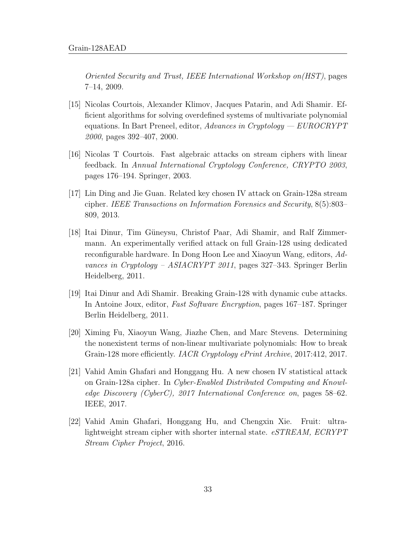Oriented Security and Trust, IEEE International Workshop on(HST), pages 7–14, 2009.

- <span id="page-32-5"></span>[15] Nicolas Courtois, Alexander Klimov, Jacques Patarin, and Adi Shamir. Efficient algorithms for solving overdefined systems of multivariate polynomial equations. In Bart Preneel, editor, Advances in Cryptology —  $EUROCRYPT$ 2000, pages 392–407, 2000.
- <span id="page-32-0"></span>[16] Nicolas T Courtois. Fast algebraic attacks on stream ciphers with linear feedback. In Annual International Cryptology Conference, CRYPTO 2003, pages 176–194. Springer, 2003.
- <span id="page-32-7"></span>[17] Lin Ding and Jie Guan. Related key chosen IV attack on Grain-128a stream cipher. IEEE Transactions on Information Forensics and Security, 8(5):803– 809, 2013.
- <span id="page-32-2"></span>[18] Itai Dinur, Tim G¨uneysu, Christof Paar, Adi Shamir, and Ralf Zimmermann. An experimentally verified attack on full Grain-128 using dedicated reconfigurable hardware. In Dong Hoon Lee and Xiaoyun Wang, editors, Advances in Cryptology – ASIACRYPT 2011, pages 327–343. Springer Berlin Heidelberg, 2011.
- <span id="page-32-1"></span>[19] Itai Dinur and Adi Shamir. Breaking Grain-128 with dynamic cube attacks. In Antoine Joux, editor, Fast Software Encryption, pages 167–187. Springer Berlin Heidelberg, 2011.
- <span id="page-32-3"></span>[20] Ximing Fu, Xiaoyun Wang, Jiazhe Chen, and Marc Stevens. Determining the nonexistent terms of non-linear multivariate polynomials: How to break Grain-128 more efficiently. *IACR Cryptology ePrint Archive*, 2017:412, 2017.
- <span id="page-32-6"></span>[21] Vahid Amin Ghafari and Honggang Hu. A new chosen IV statistical attack on Grain-128a cipher. In Cyber-Enabled Distributed Computing and Knowledge Discovery (CyberC), 2017 International Conference on, pages 58–62. IEEE, 2017.
- <span id="page-32-4"></span>[22] Vahid Amin Ghafari, Honggang Hu, and Chengxin Xie. Fruit: ultralightweight stream cipher with shorter internal state. *eSTREAM*, *ECRYPT* Stream Cipher Project, 2016.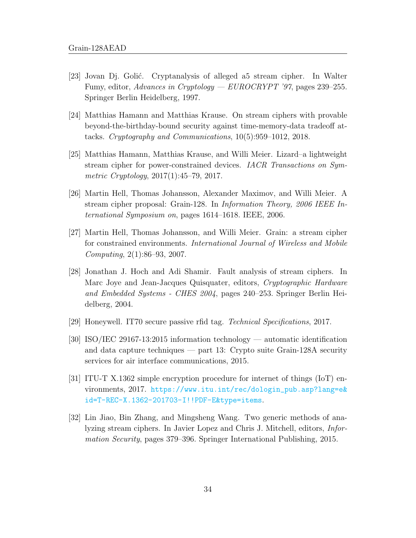- <span id="page-33-4"></span>[23] Jovan Dj. Golić. Cryptanalysis of alleged a5 stream cipher. In Walter Fumy, editor, Advances in Cryptology — EUROCRYPT '97, pages 239–255. Springer Berlin Heidelberg, 1997.
- <span id="page-33-2"></span>[24] Matthias Hamann and Matthias Krause. On stream ciphers with provable beyond-the-birthday-bound security against time-memory-data tradeoff attacks. Cryptography and Communications, 10(5):959–1012, 2018.
- <span id="page-33-3"></span>[25] Matthias Hamann, Matthias Krause, and Willi Meier. Lizard–a lightweight stream cipher for power-constrained devices. *IACR Transactions on Sym*metric Cryptology, 2017(1):45–79, 2017.
- <span id="page-33-1"></span>[26] Martin Hell, Thomas Johansson, Alexander Maximov, and Willi Meier. A stream cipher proposal: Grain-128. In Information Theory, 2006 IEEE International Symposium on, pages 1614–1618. IEEE, 2006.
- <span id="page-33-0"></span>[27] Martin Hell, Thomas Johansson, and Willi Meier. Grain: a stream cipher for constrained environments. International Journal of Wireless and Mobile Computing, 2(1):86–93, 2007.
- <span id="page-33-6"></span>[28] Jonathan J. Hoch and Adi Shamir. Fault analysis of stream ciphers. In Marc Joye and Jean-Jacques Quisquater, editors, Cryptographic Hardware and Embedded Systems - CHES 2004, pages 240–253. Springer Berlin Heidelberg, 2004.
- <span id="page-33-8"></span>[29] Honeywell. IT70 secure passive rfid tag. Technical Specifications, 2017.
- <span id="page-33-7"></span>[30] ISO/IEC 29167-13:2015 information technology — automatic identification and data capture techniques — part 13: Crypto suite Grain-128A security services for air interface communications, 2015.
- <span id="page-33-9"></span>[31] ITU-T X.1362 simple encryption procedure for internet of things (IoT) environments, 2017. [https://www.itu.int/rec/dologin\\_pub.asp?lang=e&](https://www.itu.int/rec/dologin_pub.asp?lang=e&id=T-REC-X.1362-201703-I!!PDF-E&type=items) [id=T-REC-X.1362-201703-I!!PDF-E&type=items](https://www.itu.int/rec/dologin_pub.asp?lang=e&id=T-REC-X.1362-201703-I!!PDF-E&type=items).
- <span id="page-33-5"></span>[32] Lin Jiao, Bin Zhang, and Mingsheng Wang. Two generic methods of analyzing stream ciphers. In Javier Lopez and Chris J. Mitchell, editors, Information Security, pages 379–396. Springer International Publishing, 2015.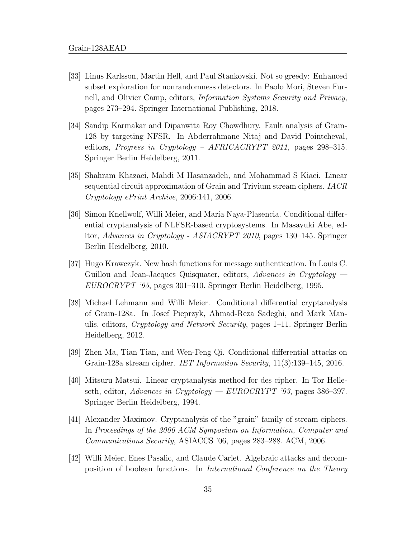- <span id="page-34-2"></span>[33] Linus Karlsson, Martin Hell, and Paul Stankovski. Not so greedy: Enhanced subset exploration for nonrandomness detectors. In Paolo Mori, Steven Furnell, and Olivier Camp, editors, Information Systems Security and Privacy, pages 273–294. Springer International Publishing, 2018.
- <span id="page-34-9"></span>[34] Sandip Karmakar and Dipanwita Roy Chowdhury. Fault analysis of Grain-128 by targeting NFSR. In Abderrahmane Nitaj and David Pointcheval, editors, Progress in Cryptology –  $AFRICACRYPT$  2011, pages 298–315. Springer Berlin Heidelberg, 2011.
- <span id="page-34-1"></span>[35] Shahram Khazaei, Mahdi M Hasanzadeh, and Mohammad S Kiaei. Linear sequential circuit approximation of Grain and Trivium stream ciphers. IACR Cryptology ePrint Archive, 2006:141, 2006.
- <span id="page-34-6"></span>[36] Simon Knellwolf, Willi Meier, and María Naya-Plasencia. Conditional differential cryptanalysis of NLFSR-based cryptosystems. In Masayuki Abe, editor, Advances in Cryptology - ASIACRYPT 2010, pages 130–145. Springer Berlin Heidelberg, 2010.
- <span id="page-34-3"></span>[37] Hugo Krawczyk. New hash functions for message authentication. In Louis C. Guillou and Jean-Jacques Quisquater, editors, Advances in Cryptology — EUROCRYPT '95, pages 301–310. Springer Berlin Heidelberg, 1995.
- <span id="page-34-7"></span>[38] Michael Lehmann and Willi Meier. Conditional differential cryptanalysis of Grain-128a. In Josef Pieprzyk, Ahmad-Reza Sadeghi, and Mark Manulis, editors, Cryptology and Network Security, pages 1–11. Springer Berlin Heidelberg, 2012.
- <span id="page-34-8"></span>[39] Zhen Ma, Tian Tian, and Wen-Feng Qi. Conditional differential attacks on Grain-128a stream cipher. IET Information Security, 11(3):139–145, 2016.
- <span id="page-34-5"></span>[40] Mitsuru Matsui. Linear cryptanalysis method for des cipher. In Tor Helleseth, editor, Advances in Cryptology —  $EUROCRYPT$  '93, pages 386–397. Springer Berlin Heidelberg, 1994.
- <span id="page-34-4"></span>[41] Alexander Maximov. Cryptanalysis of the "grain" family of stream ciphers. In Proceedings of the 2006 ACM Symposium on Information, Computer and Communications Security, ASIACCS '06, pages 283–288. ACM, 2006.
- <span id="page-34-0"></span>[42] Willi Meier, Enes Pasalic, and Claude Carlet. Algebraic attacks and decomposition of boolean functions. In International Conference on the Theory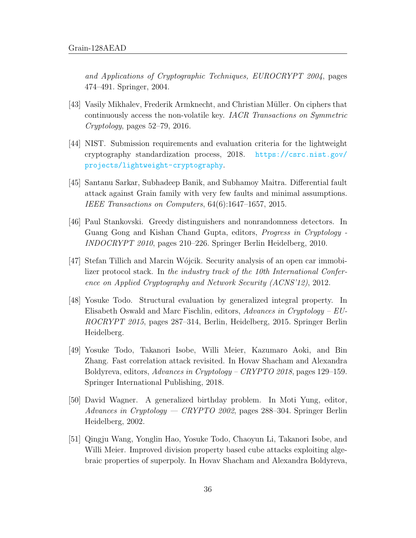and Applications of Cryptographic Techniques, EUROCRYPT 2004, pages 474–491. Springer, 2004.

- <span id="page-35-3"></span>[43] Vasily Mikhalev, Frederik Armknecht, and Christian Müller. On ciphers that continuously access the non-volatile key. IACR Transactions on Symmetric Cryptology, pages 52–79, 2016.
- <span id="page-35-0"></span>[44] NIST. Submission requirements and evaluation criteria for the lightweight cryptography standardization process, 2018. [https://csrc.nist.gov/](https://csrc.nist.gov/projects/lightweight-cryptography) [projects/lightweight-cryptography](https://csrc.nist.gov/projects/lightweight-cryptography).
- <span id="page-35-7"></span>[45] Santanu Sarkar, Subhadeep Banik, and Subhamoy Maitra. Differential fault attack against Grain family with very few faults and minimal assumptions. IEEE Transactions on Computers, 64(6):1647–1657, 2015.
- <span id="page-35-1"></span>[46] Paul Stankovski. Greedy distinguishers and nonrandomness detectors. In Guang Gong and Kishan Chand Gupta, editors, Progress in Cryptology - INDOCRYPT 2010, pages 210–226. Springer Berlin Heidelberg, 2010.
- <span id="page-35-8"></span>[47] Stefan Tillich and Marcin Wójcik. Security analysis of an open car immobilizer protocol stack. In the industry track of the 10th International Conference on Applied Cryptography and Network Security (ACNS'12), 2012.
- <span id="page-35-5"></span>[48] Yosuke Todo. Structural evaluation by generalized integral property. In Elisabeth Oswald and Marc Fischlin, editors, Advances in Cryptology –  $EU$ ROCRYPT 2015, pages 287–314, Berlin, Heidelberg, 2015. Springer Berlin Heidelberg.
- <span id="page-35-2"></span>[49] Yosuke Todo, Takanori Isobe, Willi Meier, Kazumaro Aoki, and Bin Zhang. Fast correlation attack revisited. In Hovav Shacham and Alexandra Boldyreva, editors, Advances in Cryptology – CRYPTO 2018, pages 129–159. Springer International Publishing, 2018.
- <span id="page-35-4"></span>[50] David Wagner. A generalized birthday problem. In Moti Yung, editor, Advances in Cryptology — CRYPTO 2002, pages 288–304. Springer Berlin Heidelberg, 2002.
- <span id="page-35-6"></span>[51] Qingju Wang, Yonglin Hao, Yosuke Todo, Chaoyun Li, Takanori Isobe, and Willi Meier. Improved division property based cube attacks exploiting algebraic properties of superpoly. In Hovav Shacham and Alexandra Boldyreva,